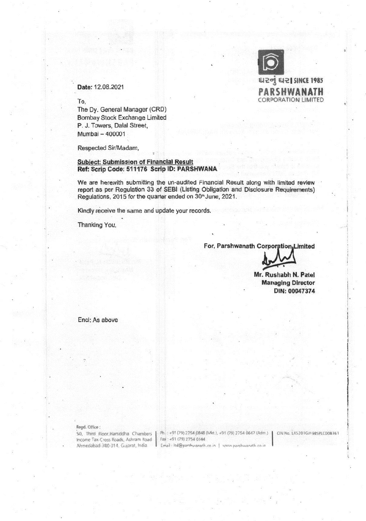

## Date: 12.08.2021

To,

The Dy. General Manager (CRD) Bombay Stock Exchange Limited P. J. Towers, Dalai Street, Mumbai — 400001

Respected Sir/Madam,

## Subject: Submission of Financial Result Ref: Scrip Code: 511176 Scrip ID: PARSHWANA

We are herewith submitting the un-audited Financial Result along with limited review report as per Regulation 33 of SEBI (Listing Obligation and Disclosure Requirements) Regulations, 2015 for the quarter ended on 30<sup>th</sup> June, 2021.

Kindly receive the same and update your records.

Thanking You,

For, Parshwanath Corporation, Limited

Mr. Rushabh N. Patel Managing Director DIN: 00047374

End: As above

Regd. Office:

Income Tax Cross Roads, Ashram Road<br>Ahmedabad-380 014, Gujarat, India.

50, Third Floor, Harsiddha Chambers | Ph. : +91 (79) 2754 0848 (Mkt ), +91 (79) 2754 0647 (Adm.) | CIN No. L45201GJ1985PLC008361<br>Income Tax Cross Roads, Ashram Road | Fax : +91 (79) 2754 0144 Email : Itd@parshwanath.co in | www.parshwanath.co.in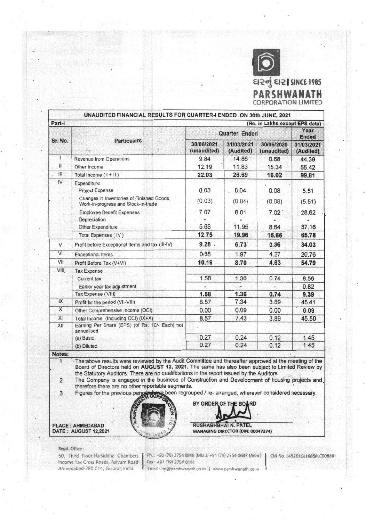

| UNAUDITED FINANCIAL RESULTS FOR QUARTER-I ENDED ON 30th JUNE, 2021 |                                                                                                                           |                           |                         |                           |                         |
|--------------------------------------------------------------------|---------------------------------------------------------------------------------------------------------------------------|---------------------------|-------------------------|---------------------------|-------------------------|
| Part-I<br>(Rs. in Lakhs except EPS data)                           |                                                                                                                           |                           |                         |                           |                         |
| Sr. No.                                                            | <b>Particulars</b><br>$\lambda_{\rm eff}$                                                                                 | Quarter Ended             |                         |                           | Year<br><b>Ended</b>    |
|                                                                    |                                                                                                                           | 30/06/2021<br>(unaudited) | 31/03/2021<br>(Audited) | 30/06/2020<br>(unaudited) | 31/03/2021<br>(Audited) |
|                                                                    | <b>Revenue from Operations</b>                                                                                            | 9.84                      | 14.86                   | 0.68                      | 44.39                   |
| $\mathbf{H}$                                                       | Other Income                                                                                                              | 12.19                     | 11.83                   | 15.34                     | 55.42                   |
| HI                                                                 | Total Income $(1 + 11)$                                                                                                   | 22.03                     | 26.69                   | 16.02                     | 99.81                   |
| IV                                                                 | Expenditure<br><b>Project Expense</b><br>Changes in Inventories of Finished Goods,<br>Work-in-progress and Stock-in-trade | 0.03<br>(0.03)            | 0.04<br>(0.04)          | 0.08<br>(0.08)            | 5.51<br>(5.51)          |
|                                                                    | Employee Benefit Expenses<br>Depreciation<br>Other Expenditure                                                            | 7.07<br>5.68              | 8.01<br>11.95           | 7.02<br>8.64              | 28.62<br>37.16          |
|                                                                    | Total Expenses (IV)                                                                                                       | 12.75                     | 19.96                   | 15.66                     | 65.78                   |
| V                                                                  | Profit before Exceptional Items and tax (III-IV)                                                                          | $9.28$ .                  | 6.73                    | 0.36                      | 34.03                   |
| VI                                                                 | <b>Exceptional Items</b>                                                                                                  | 0.88                      | 1.97                    | 4.27                      | 20.76                   |
| VII                                                                | Profit Before Tax (V+VI)                                                                                                  | 10.16                     | 8.70                    | 4.63                      | 54.79                   |
| VIII                                                               | <b>Tax Expense</b><br>Current tax<br>Earlier year tax adjustment                                                          | 1.58                      | 1.36                    | 0.74                      | 8.56<br>0.82            |
|                                                                    | Tax Expense ('VIII)                                                                                                       | 1.58                      | 1.36                    | 0.74                      | 9.39                    |
| IX                                                                 | Profit for the period (VII-VIII)                                                                                          | 8.57                      | 7.34                    | 3.89                      | 45.41                   |
| X                                                                  | Other Comprehensive Income (OCI)                                                                                          | 0.00                      | $-0.09$                 | 0.00                      | 0.09                    |
| XI                                                                 | Total Income (Including OCI) (IX+X)                                                                                       | 8.57                      | 7.43                    | 3.89                      | 45.50                   |
| XII                                                                | Earning Per Share (EPS) (of Rs. 10/- Each) not<br>annualised<br>(a) Basic<br>(b) Diluted                                  | 0.27<br>0.27              | 0.24<br>0.24            | 0.12<br>0.12              | 1.45<br>1.45            |
| Notes:                                                             |                                                                                                                           |                           |                         |                           |                         |

The above results were reviewed by the Audit Committee and thereafter approved at the meeting of the Board of Directors held on AUGUST 12, 2021. The same has also been subject to Limited Review by the Statutory Auditors. There are no qualifications in the report issued by the Auditors.

The Company is engaged in the business of Construction and Development of housing projects and  $\overline{2}$ therefore there are no other reportable segments.

been regrouped / re- arranged, wherever considered necessary. 3 Figures for the previous perig





BY ORDER OF

BC **RD** 

Regd. Office :

**PLACE: AHMEDABAD DATE: AUGUST 12,2021** 

> 50, Third Floor, Harsiddha Chambers Income Tax Cross Roads, Ashram Road Ahmedabad-380 014, Gujarat, India.

Ph.: +91 (79) 2754 0848 (Mkt.), +91 (79) 2754 0647 (Adm.) Fax: +91 (79) 2754 0144

CIN No. L45201GJ1985PLC008361

Email: htd@parshwanath.co.in | www.parshwanath.co.in